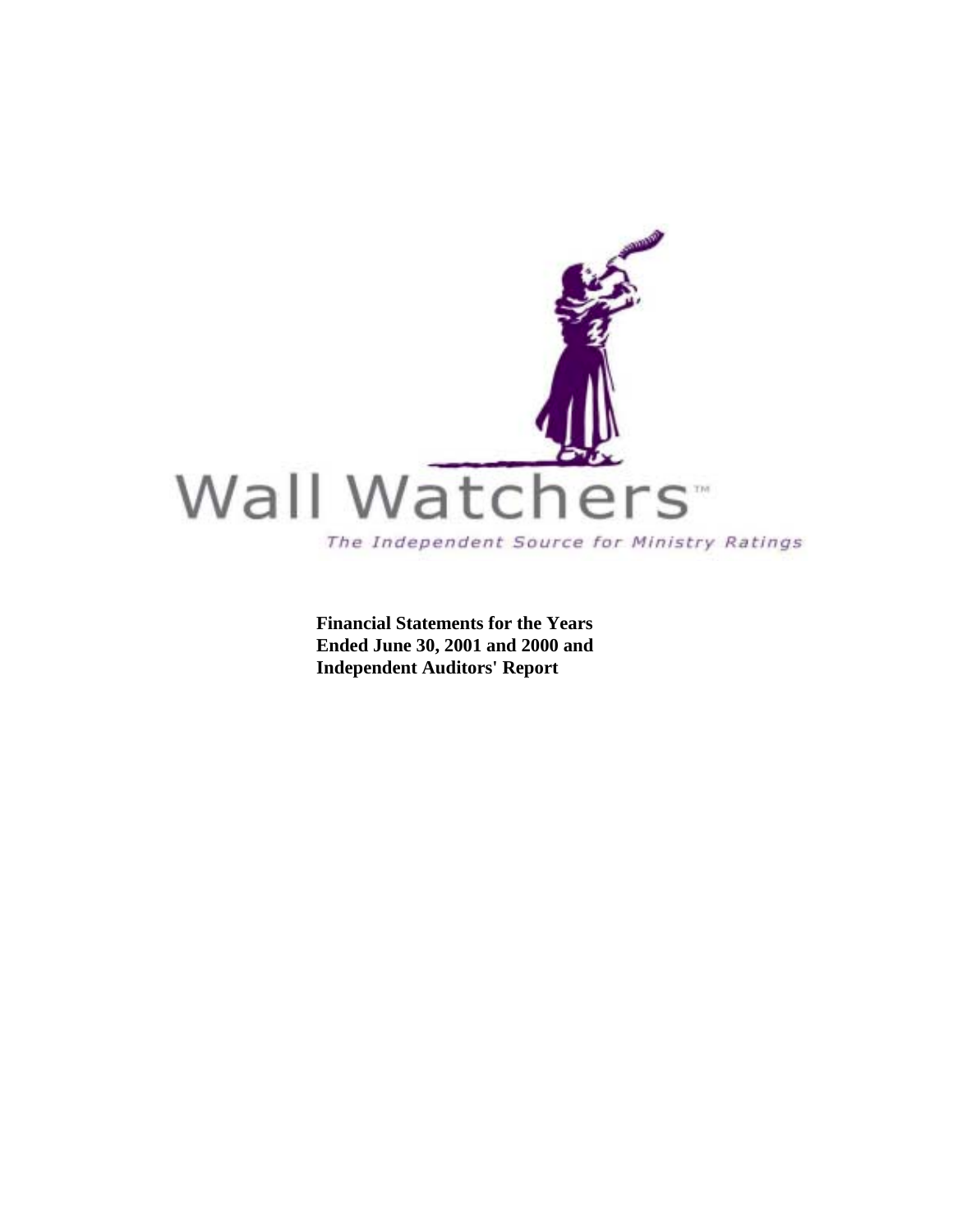

 **Financial Statements for the Years Ended June 30, 2001 and 2000 and Independent Auditors' Report**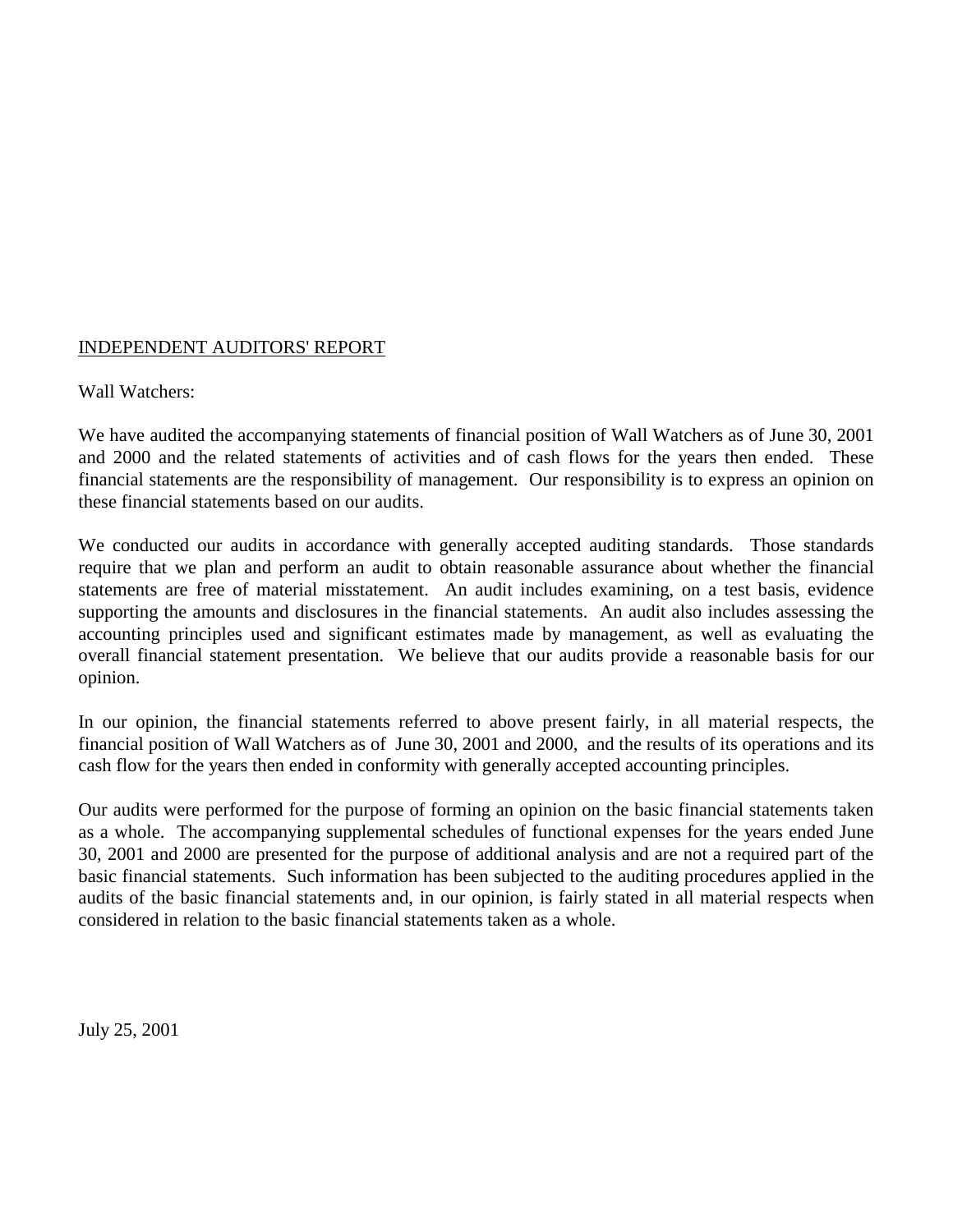### INDEPENDENT AUDITORS' REPORT

#### Wall Watchers:

We have audited the accompanying statements of financial position of Wall Watchers as of June 30, 2001 and 2000 and the related statements of activities and of cash flows for the years then ended. These financial statements are the responsibility of management. Our responsibility is to express an opinion on these financial statements based on our audits.

We conducted our audits in accordance with generally accepted auditing standards. Those standards require that we plan and perform an audit to obtain reasonable assurance about whether the financial statements are free of material misstatement. An audit includes examining, on a test basis, evidence supporting the amounts and disclosures in the financial statements. An audit also includes assessing the accounting principles used and significant estimates made by management, as well as evaluating the overall financial statement presentation. We believe that our audits provide a reasonable basis for our opinion.

In our opinion, the financial statements referred to above present fairly, in all material respects, the financial position of Wall Watchers as of June 30, 2001 and 2000, and the results of its operations and its cash flow for the years then ended in conformity with generally accepted accounting principles.

Our audits were performed for the purpose of forming an opinion on the basic financial statements taken as a whole. The accompanying supplemental schedules of functional expenses for the years ended June 30, 2001 and 2000 are presented for the purpose of additional analysis and are not a required part of the basic financial statements. Such information has been subjected to the auditing procedures applied in the audits of the basic financial statements and, in our opinion, is fairly stated in all material respects when considered in relation to the basic financial statements taken as a whole.

July 25, 2001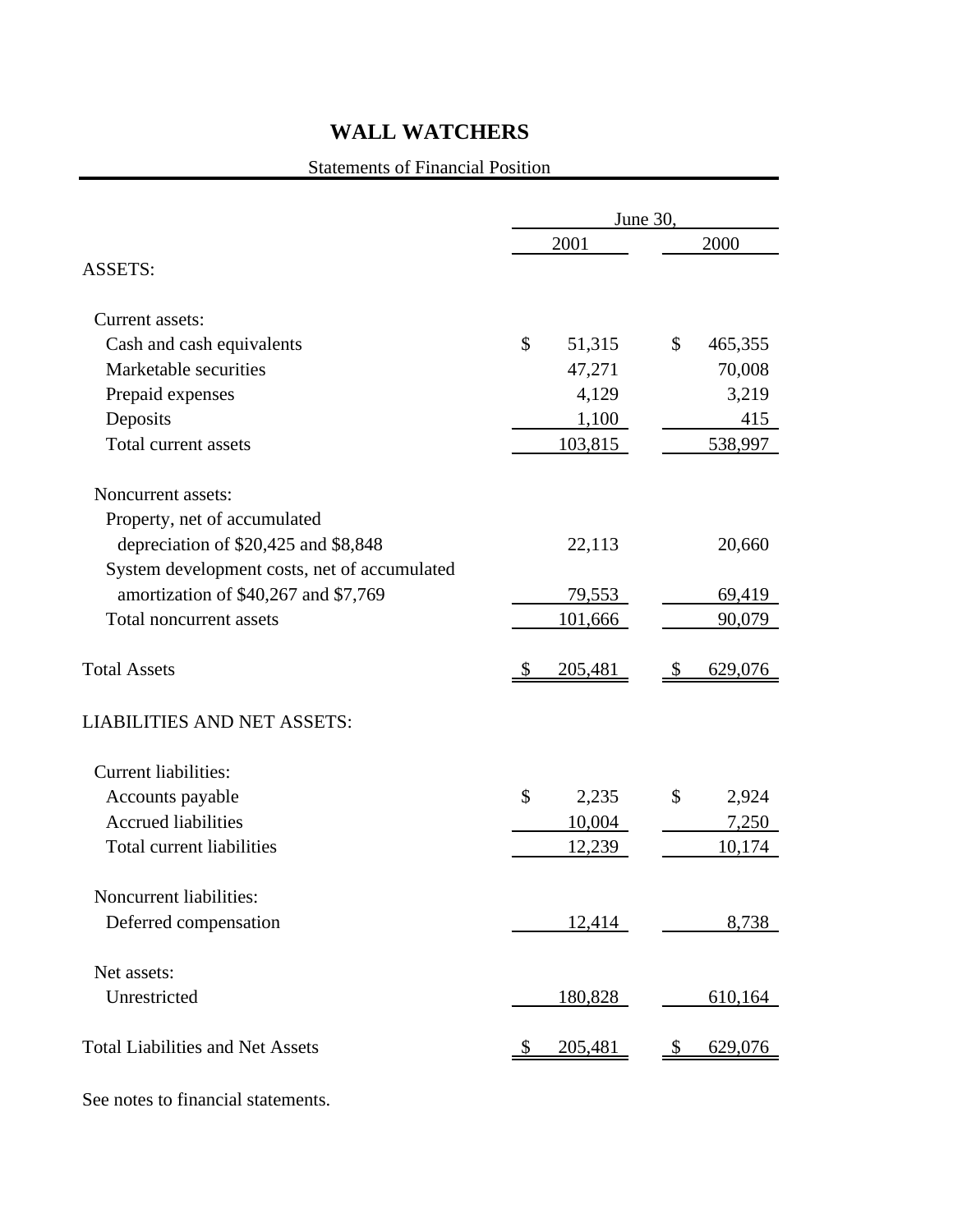### Statements of Financial Position

|                                              |               | June 30, |               |         |  |  |  |
|----------------------------------------------|---------------|----------|---------------|---------|--|--|--|
|                                              |               | 2001     | 2000          |         |  |  |  |
| <b>ASSETS:</b>                               |               |          |               |         |  |  |  |
| Current assets:                              |               |          |               |         |  |  |  |
| Cash and cash equivalents                    | \$            | 51,315   | \$            | 465,355 |  |  |  |
| Marketable securities                        |               | 47,271   |               | 70,008  |  |  |  |
| Prepaid expenses                             |               | 4,129    |               | 3,219   |  |  |  |
| Deposits                                     |               | 1,100    |               | 415     |  |  |  |
| Total current assets                         |               | 103,815  |               | 538,997 |  |  |  |
| Noncurrent assets:                           |               |          |               |         |  |  |  |
| Property, net of accumulated                 |               |          |               |         |  |  |  |
| depreciation of \$20,425 and \$8,848         |               | 22,113   |               | 20,660  |  |  |  |
| System development costs, net of accumulated |               |          |               |         |  |  |  |
| amortization of \$40,267 and \$7,769         |               | 79,553   |               | 69,419  |  |  |  |
| Total noncurrent assets                      |               | 101,666  |               | 90,079  |  |  |  |
| <b>Total Assets</b>                          | $\mathcal{S}$ | 205,481  | $\mathcal{S}$ | 629,076 |  |  |  |
| <b>LIABILITIES AND NET ASSETS:</b>           |               |          |               |         |  |  |  |
| <b>Current liabilities:</b>                  |               |          |               |         |  |  |  |
| Accounts payable                             | \$            | 2,235    | \$            | 2,924   |  |  |  |
| <b>Accrued liabilities</b>                   |               | 10,004   |               | 7,250   |  |  |  |
| Total current liabilities                    |               | 12,239   |               | 10,174  |  |  |  |
| Noncurrent liabilities:                      |               |          |               |         |  |  |  |
| Deferred compensation                        |               | 12,414   |               | 8,738   |  |  |  |
| Net assets:                                  |               |          |               |         |  |  |  |
| Unrestricted                                 |               | 180,828  |               | 610,164 |  |  |  |
|                                              |               |          |               |         |  |  |  |
| <b>Total Liabilities and Net Assets</b>      | <sup>8</sup>  | 205,481  | $\mathcal{S}$ | 629,076 |  |  |  |
|                                              |               |          |               |         |  |  |  |

See notes to financial statements.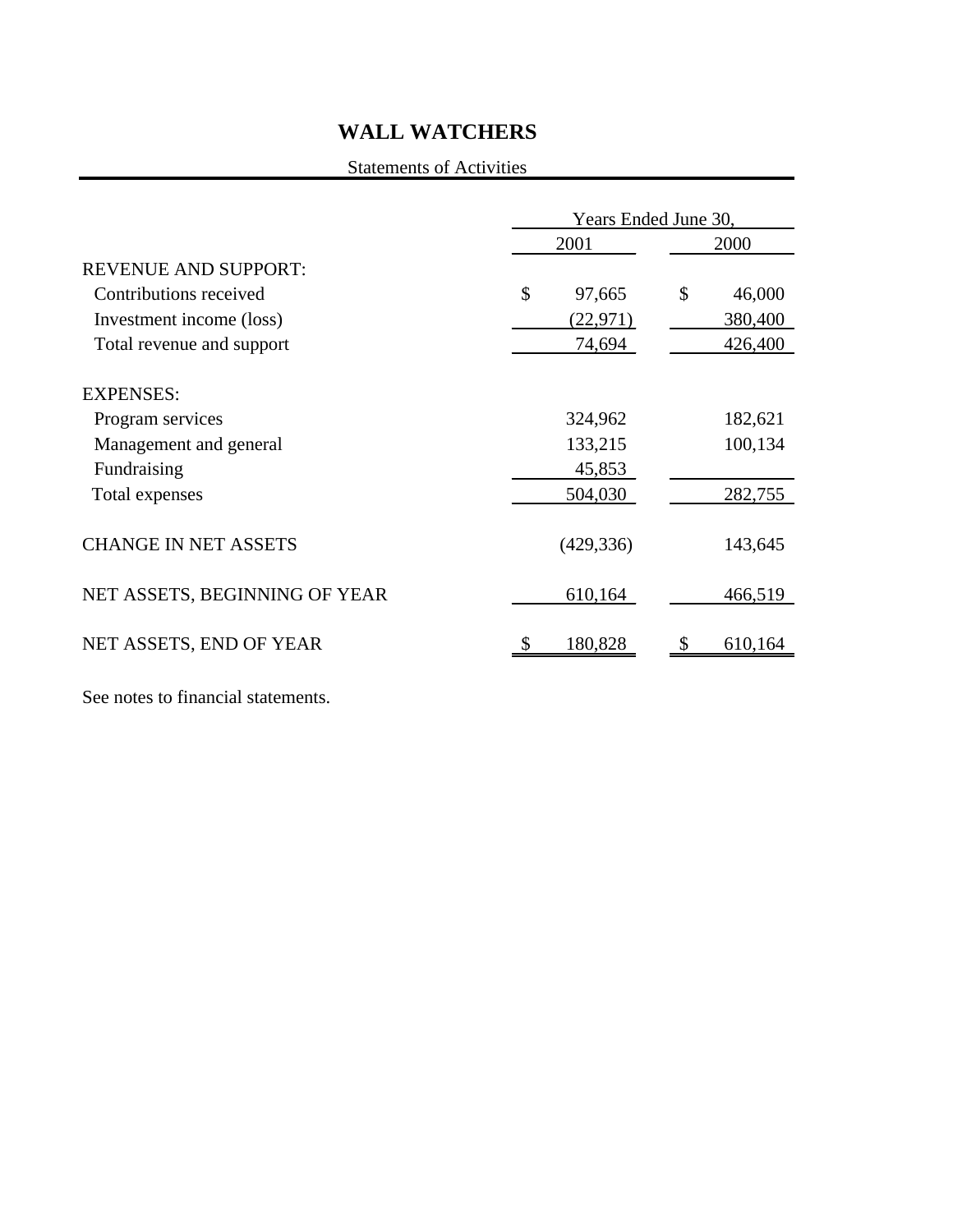### Statements of Activities

|                                            | Years Ended June 30, |            |    |         |  |  |  |
|--------------------------------------------|----------------------|------------|----|---------|--|--|--|
|                                            |                      | 2001       |    | 2000    |  |  |  |
| <b>REVENUE AND SUPPORT:</b>                |                      |            |    |         |  |  |  |
| Contributions received                     | \$                   | 97,665     | \$ | 46,000  |  |  |  |
| Investment income (loss)                   |                      | (22, 971)  |    | 380,400 |  |  |  |
| Total revenue and support                  |                      | 74,694     |    | 426,400 |  |  |  |
| <b>EXPENSES:</b>                           |                      | 324,962    |    | 182,621 |  |  |  |
| Program services<br>Management and general |                      | 133,215    |    | 100,134 |  |  |  |
| Fundraising                                |                      | 45,853     |    |         |  |  |  |
| Total expenses                             |                      | 504,030    |    | 282,755 |  |  |  |
| <b>CHANGE IN NET ASSETS</b>                |                      | (429, 336) |    | 143,645 |  |  |  |
| NET ASSETS, BEGINNING OF YEAR              |                      | 610,164    |    | 466,519 |  |  |  |
| NET ASSETS, END OF YEAR                    |                      | 180,828    |    | 610,164 |  |  |  |

See notes to financial statements.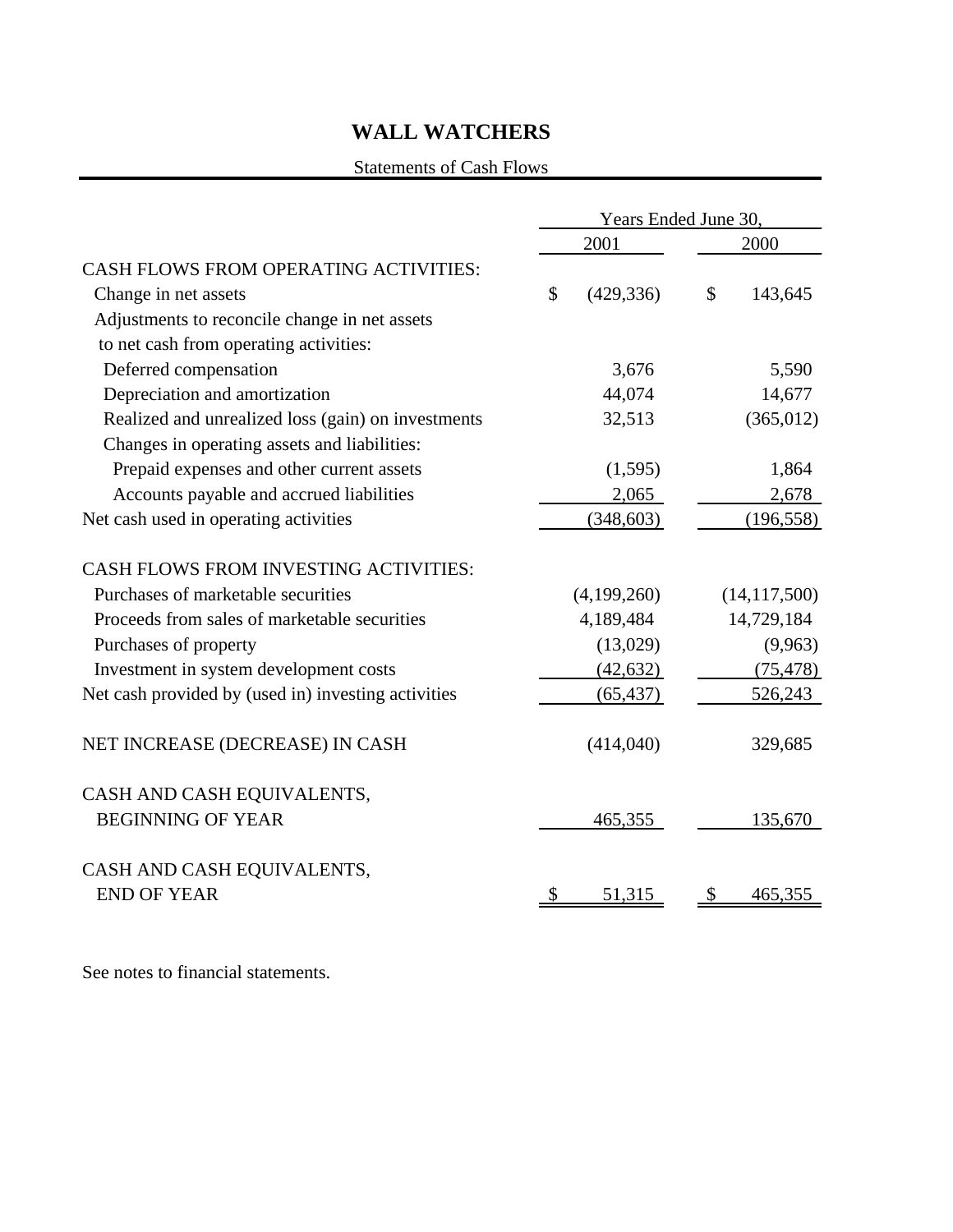### Statements of Cash Flows

|                                                     | Years Ended June 30, |             |               |                |  |  |  |
|-----------------------------------------------------|----------------------|-------------|---------------|----------------|--|--|--|
|                                                     |                      | 2001        | 2000          |                |  |  |  |
| <b>CASH FLOWS FROM OPERATING ACTIVITIES:</b>        |                      |             |               |                |  |  |  |
| Change in net assets                                | \$                   | (429, 336)  | $\mathcal{S}$ | 143,645        |  |  |  |
| Adjustments to reconcile change in net assets       |                      |             |               |                |  |  |  |
| to net cash from operating activities:              |                      |             |               |                |  |  |  |
| Deferred compensation                               |                      | 3,676       |               | 5,590          |  |  |  |
| Depreciation and amortization                       |                      | 44,074      |               | 14,677         |  |  |  |
| Realized and unrealized loss (gain) on investments  |                      | 32,513      |               | (365, 012)     |  |  |  |
| Changes in operating assets and liabilities:        |                      |             |               |                |  |  |  |
| Prepaid expenses and other current assets           |                      | (1,595)     |               | 1,864          |  |  |  |
| Accounts payable and accrued liabilities            |                      | 2,065       |               | 2,678          |  |  |  |
| Net cash used in operating activities               |                      | (348, 603)  |               | (196, 558)     |  |  |  |
| <b>CASH FLOWS FROM INVESTING ACTIVITIES:</b>        |                      |             |               |                |  |  |  |
| Purchases of marketable securities                  |                      | (4,199,260) |               | (14, 117, 500) |  |  |  |
| Proceeds from sales of marketable securities        |                      | 4,189,484   |               | 14,729,184     |  |  |  |
| Purchases of property                               |                      | (13,029)    |               | (9,963)        |  |  |  |
| Investment in system development costs              |                      | (42, 632)   |               | (75, 478)      |  |  |  |
| Net cash provided by (used in) investing activities |                      | (65, 437)   |               | 526,243        |  |  |  |
| NET INCREASE (DECREASE) IN CASH                     |                      | (414,040)   |               | 329,685        |  |  |  |
| CASH AND CASH EQUIVALENTS,                          |                      |             |               |                |  |  |  |
| <b>BEGINNING OF YEAR</b>                            |                      | 465,355     |               | 135,670        |  |  |  |
| CASH AND CASH EQUIVALENTS,                          |                      |             |               |                |  |  |  |
| <b>END OF YEAR</b>                                  |                      | 51,315      | Ъ             | 465,355        |  |  |  |
|                                                     |                      |             |               |                |  |  |  |

See notes to financial statements.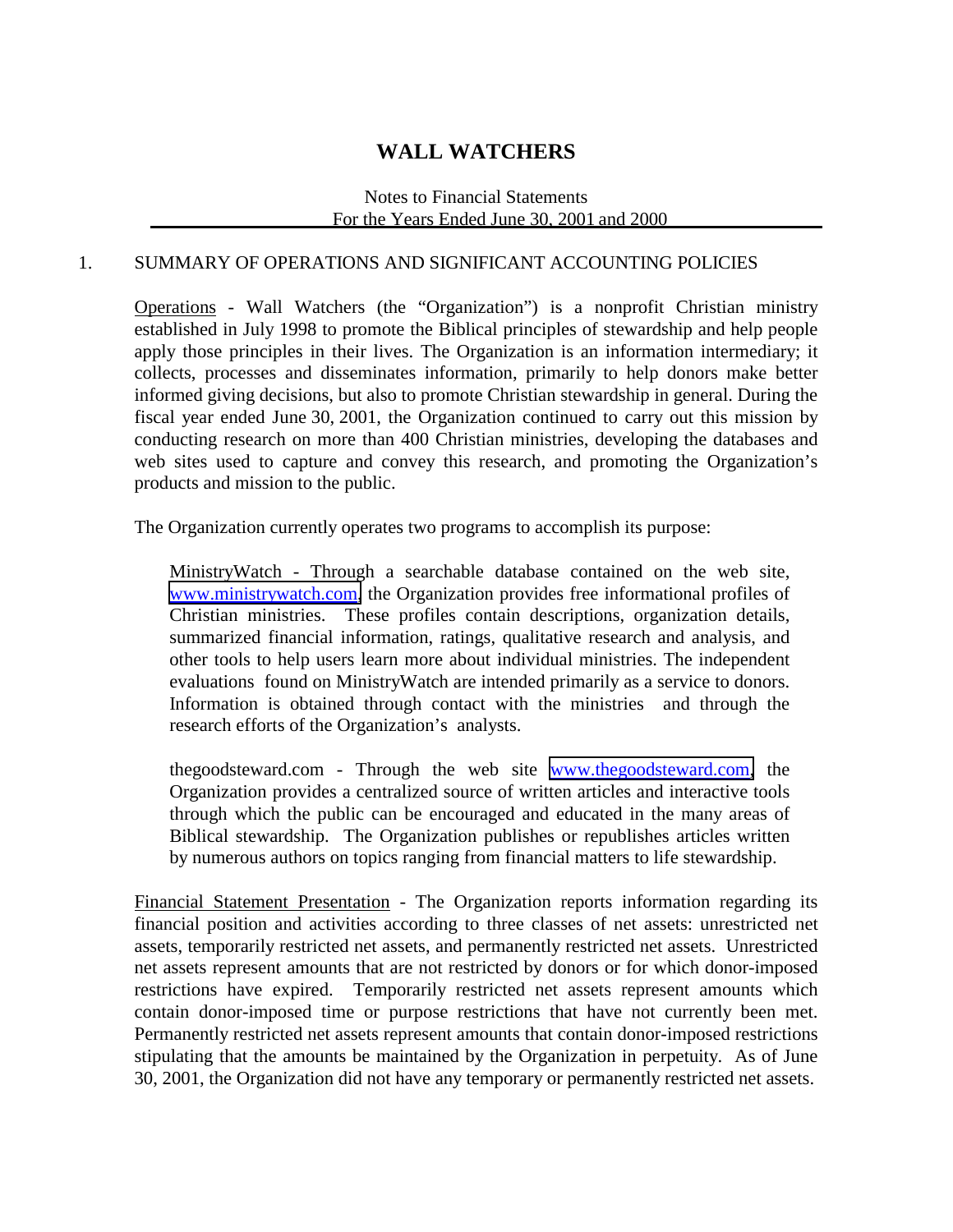### Notes to Financial Statements For the Years Ended June 30, 2001 and 2000

### 1. SUMMARY OF OPERATIONS AND SIGNIFICANT ACCOUNTING POLICIES

Operations - Wall Watchers (the "Organization") is a nonprofit Christian ministry established in July 1998 to promote the Biblical principles of stewardship and help people apply those principles in their lives. The Organization is an information intermediary; it collects, processes and disseminates information, primarily to help donors make better informed giving decisions, but also to promote Christian stewardship in general. During the fiscal year ended June 30, 2001, the Organization continued to carry out this mission by conducting research on more than 400 Christian ministries, developing the databases and web sites used to capture and convey this research, and promoting the Organization's products and mission to the public.

The Organization currently operates two programs to accomplish its purpose:

MinistryWatch - Through a searchable database contained on the web site, [www.ministrywatch.com,](http://www.ministrywatch.com/) the Organization provides free informational profiles of Christian ministries. These profiles contain descriptions, organization details, summarized financial information, ratings, qualitative research and analysis, and other tools to help users learn more about individual ministries. The independent evaluations found on MinistryWatch are intended primarily as a service to donors. Information is obtained through contact with the ministries and through the research efforts of the Organization's analysts.

thegoodsteward.com - Through the web site [www.thegoodsteward.com,](http://www.thegoodstewrd.com/) the Organization provides a centralized source of written articles and interactive tools through which the public can be encouraged and educated in the many areas of Biblical stewardship. The Organization publishes or republishes articles written by numerous authors on topics ranging from financial matters to life stewardship.

Financial Statement Presentation - The Organization reports information regarding its financial position and activities according to three classes of net assets: unrestricted net assets, temporarily restricted net assets, and permanently restricted net assets. Unrestricted net assets represent amounts that are not restricted by donors or for which donor-imposed restrictions have expired. Temporarily restricted net assets represent amounts which contain donor-imposed time or purpose restrictions that have not currently been met. Permanently restricted net assets represent amounts that contain donor-imposed restrictions stipulating that the amounts be maintained by the Organization in perpetuity. As of June 30, 2001, the Organization did not have any temporary or permanently restricted net assets.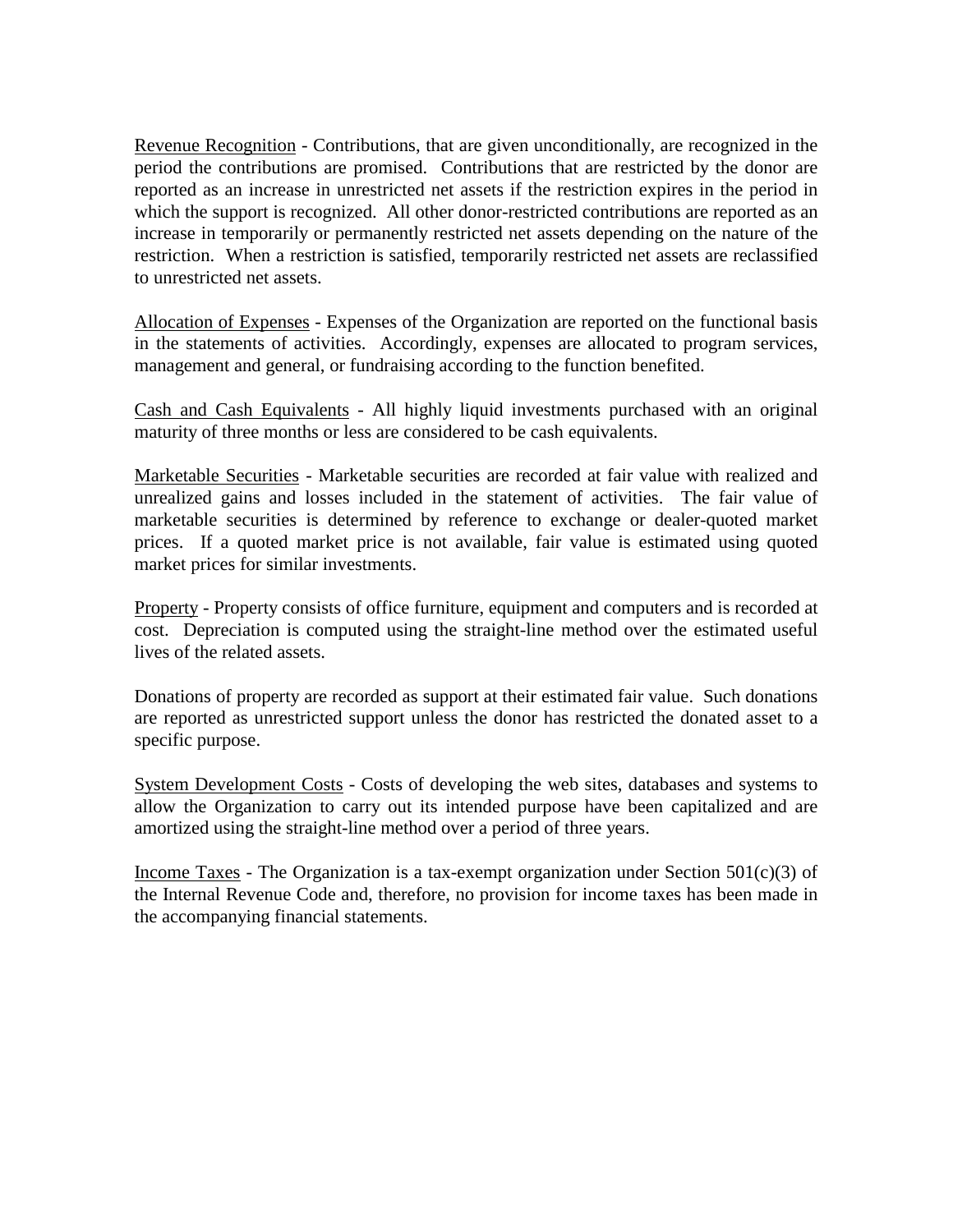Revenue Recognition - Contributions, that are given unconditionally, are recognized in the period the contributions are promised. Contributions that are restricted by the donor are reported as an increase in unrestricted net assets if the restriction expires in the period in which the support is recognized. All other donor-restricted contributions are reported as an increase in temporarily or permanently restricted net assets depending on the nature of the restriction. When a restriction is satisfied, temporarily restricted net assets are reclassified to unrestricted net assets.

Allocation of Expenses - Expenses of the Organization are reported on the functional basis in the statements of activities. Accordingly, expenses are allocated to program services, management and general, or fundraising according to the function benefited.

Cash and Cash Equivalents - All highly liquid investments purchased with an original maturity of three months or less are considered to be cash equivalents.

Marketable Securities - Marketable securities are recorded at fair value with realized and unrealized gains and losses included in the statement of activities. The fair value of marketable securities is determined by reference to exchange or dealer-quoted market prices. If a quoted market price is not available, fair value is estimated using quoted market prices for similar investments.

Property - Property consists of office furniture, equipment and computers and is recorded at cost. Depreciation is computed using the straight-line method over the estimated useful lives of the related assets.

Donations of property are recorded as support at their estimated fair value. Such donations are reported as unrestricted support unless the donor has restricted the donated asset to a specific purpose.

System Development Costs - Costs of developing the web sites, databases and systems to allow the Organization to carry out its intended purpose have been capitalized and are amortized using the straight-line method over a period of three years.

Income Taxes - The Organization is a tax-exempt organization under Section  $501(c)(3)$  of the Internal Revenue Code and, therefore, no provision for income taxes has been made in the accompanying financial statements.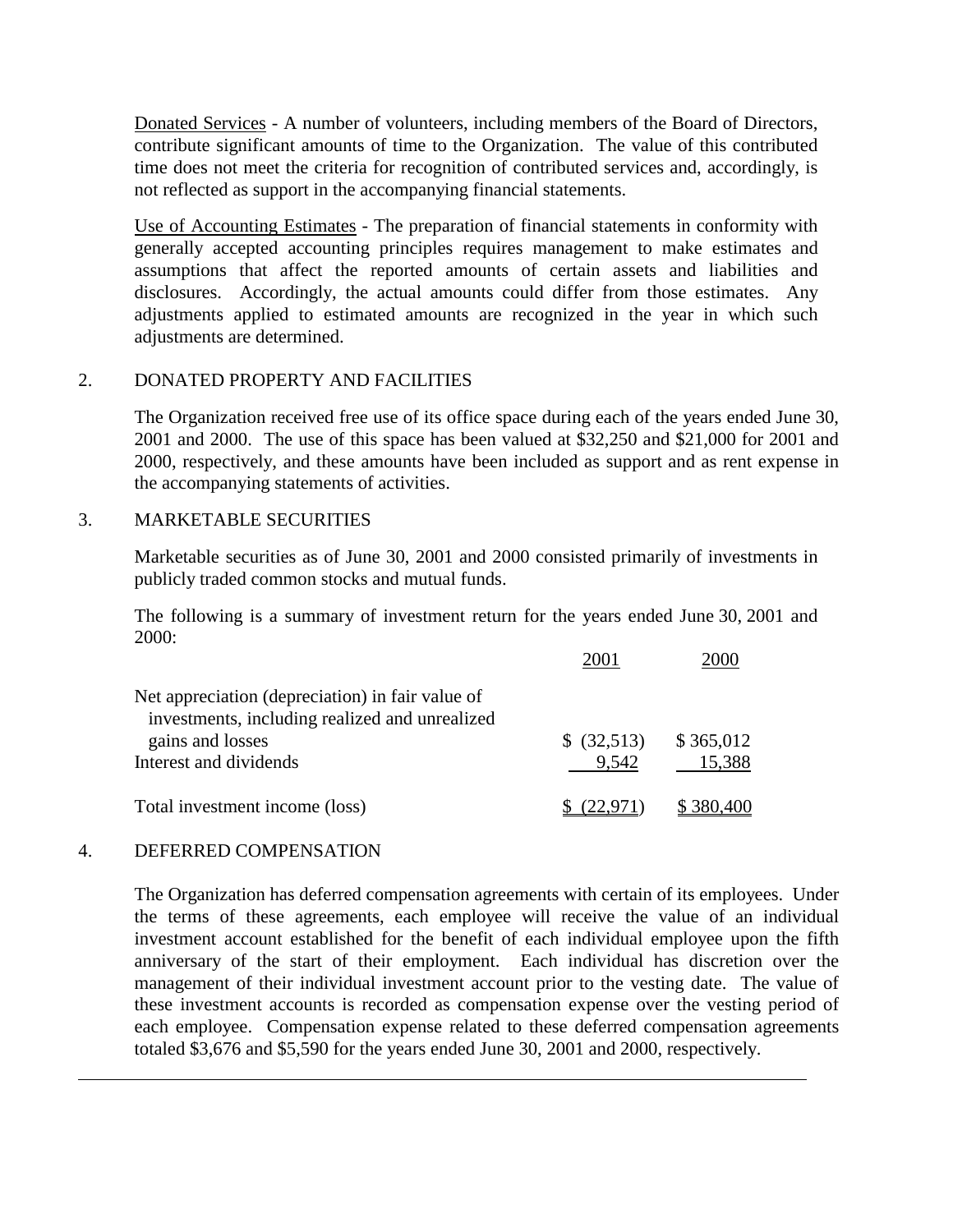Donated Services - A number of volunteers, including members of the Board of Directors, contribute significant amounts of time to the Organization. The value of this contributed time does not meet the criteria for recognition of contributed services and, accordingly, is not reflected as support in the accompanying financial statements.

Use of Accounting Estimates - The preparation of financial statements in conformity with generally accepted accounting principles requires management to make estimates and assumptions that affect the reported amounts of certain assets and liabilities and disclosures. Accordingly, the actual amounts could differ from those estimates. Any adjustments applied to estimated amounts are recognized in the year in which such adjustments are determined.

### 2. DONATED PROPERTY AND FACILITIES

The Organization received free use of its office space during each of the years ended June 30, 2001 and 2000. The use of this space has been valued at \$32,250 and \$21,000 for 2001 and 2000, respectively, and these amounts have been included as support and as rent expense in the accompanying statements of activities.

### 3. MARKETABLE SECURITIES

Marketable securities as of June 30, 2001 and 2000 consisted primarily of investments in publicly traded common stocks and mutual funds.

The following is a summary of investment return for the years ended June 30, 2001 and 2000:

| Net appreciation (depreciation) in fair value of<br>investments, including realized and unrealized |             |           |
|----------------------------------------------------------------------------------------------------|-------------|-----------|
| gains and losses                                                                                   | \$ (32,513) | \$365,012 |
| Interest and dividends                                                                             | 9.542       | 15,388    |
| Total investment income (loss)                                                                     | (22.971)    | \$380,400 |

### 4. DEFERRED COMPENSATION

l

The Organization has deferred compensation agreements with certain of its employees. Under the terms of these agreements, each employee will receive the value of an individual investment account established for the benefit of each individual employee upon the fifth anniversary of the start of their employment. Each individual has discretion over the management of their individual investment account prior to the vesting date. The value of these investment accounts is recorded as compensation expense over the vesting period of each employee. Compensation expense related to these deferred compensation agreements totaled \$3,676 and \$5,590 for the years ended June 30, 2001 and 2000, respectively.